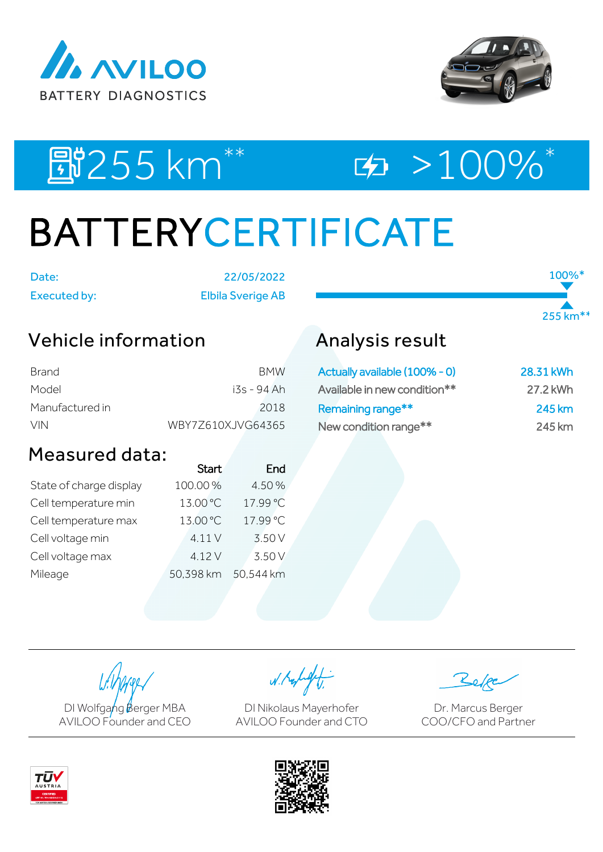



100%\*

255 km\*\*

**即255 km<sup>\*\*</sup> 中 200%**\*

# BATTERYCERTIFICATE

Date: 22/05/2022 Executed by: Elbila Sverige AB

## Vehicle information

| Brand           | <b>BMW</b>        |
|-----------------|-------------------|
| Model           | i3s - 94 Ah       |
| Manufactured in | 2018              |
| <b>VIN</b>      | WBY7Z610XJVG64365 |

## Measured data:

|                         | <b>Start</b> | End       |
|-------------------------|--------------|-----------|
| State of charge display | 100.00%      | 4.50%     |
| Cell temperature min    | 13.00 °C     | 17.99 °C  |
| Cell temperature max    | 13.00 °C     | 17.99 °C  |
| Cell voltage min        | 4.11 V       | 3.50 V    |
| Cell voltage max        | 4.12V        | 3.50 V    |
| Mileage                 | 50,398 km    | 50.544 km |

## Analysis result

| Actually available (100% - 0) | 28.31 kWh |
|-------------------------------|-----------|
| Available in new condition**  | 27.2 kWh  |
| Remaining range**             | 245 km    |
| New condition range**         | 245 km    |

DI Wolfgang Berger MBA AVILOO Founder and CEO

W. Kolight

DI Nikolaus Mayerhofer AVILOO Founder and CTO

Dr. Marcus Berger COO/CFO and Partner